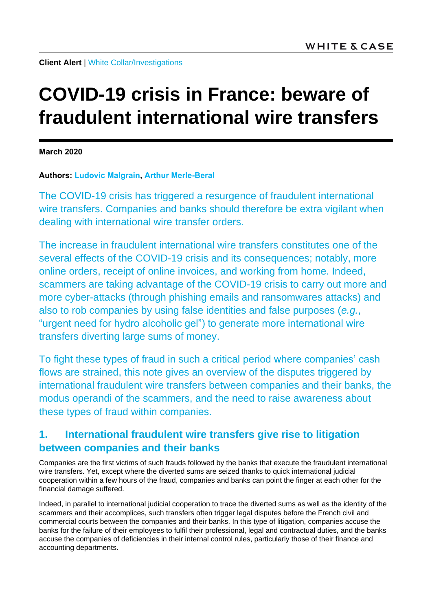**Client Alert** | [White Collar/Investigations](https://www.whitecase.com/law/practices/white-collar-investigations)

# **COVID-19 crisis in France: beware of fraudulent international wire transfers**

**March 2020**

#### **Authors: [Ludovic Malgrain,](https://www.whitecase.com/people/ludovic-malgrain) [Arthur Merle-Beral](https://www.whitecase.com/people/arthur-merle-beral)**

The COVID-19 crisis has triggered a resurgence of fraudulent international wire transfers. Companies and banks should therefore be extra vigilant when dealing with international wire transfer orders.

The increase in fraudulent international wire transfers constitutes one of the several effects of the COVID-19 crisis and its consequences; notably, more online orders, receipt of online invoices, and working from home. Indeed, scammers are taking advantage of the COVID-19 crisis to carry out more and more cyber-attacks (through phishing emails and ransomwares attacks) and also to rob companies by using false identities and false purposes (*e.g.*, "urgent need for hydro alcoholic gel") to generate more international wire transfers diverting large sums of money.

To fight these types of fraud in such a critical period where companies' cash flows are strained, this note gives an overview of the disputes triggered by international fraudulent wire transfers between companies and their banks, the modus operandi of the scammers, and the need to raise awareness about these types of fraud within companies.

### **1. International fraudulent wire transfers give rise to litigation between companies and their banks**

Companies are the first victims of such frauds followed by the banks that execute the fraudulent international wire transfers. Yet, except where the diverted sums are seized thanks to quick international judicial cooperation within a few hours of the fraud, companies and banks can point the finger at each other for the financial damage suffered.

Indeed, in parallel to international judicial cooperation to trace the diverted sums as well as the identity of the scammers and their accomplices, such transfers often trigger legal disputes before the French civil and commercial courts between the companies and their banks. In this type of litigation, companies accuse the banks for the failure of their employees to fulfil their professional, legal and contractual duties, and the banks accuse the companies of deficiencies in their internal control rules, particularly those of their finance and accounting departments.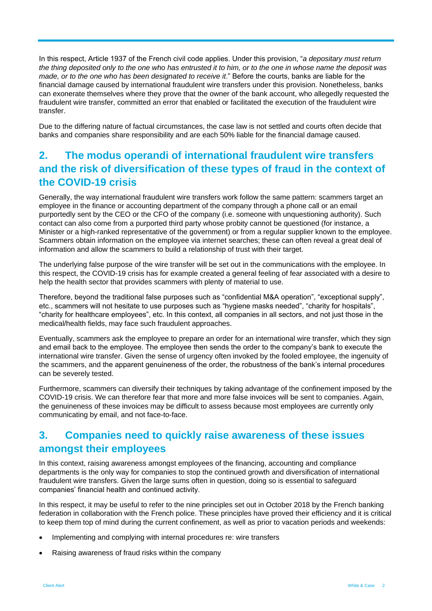In this respect, Article 1937 of the French civil code applies. Under this provision, "*a depositary must return the thing deposited only to the one who has entrusted it to him, or to the one in whose name the deposit was made, or to the one who has been designated to receive it*." Before the courts, banks are liable for the financial damage caused by international fraudulent wire transfers under this provision. Nonetheless, banks can exonerate themselves where they prove that the owner of the bank account, who allegedly requested the fraudulent wire transfer, committed an error that enabled or facilitated the execution of the fraudulent wire transfer.

Due to the differing nature of factual circumstances, the case law is not settled and courts often decide that banks and companies share responsibility and are each 50% liable for the financial damage caused.

## **2. The modus operandi of international fraudulent wire transfers and the risk of diversification of these types of fraud in the context of the COVID-19 crisis**

Generally, the way international fraudulent wire transfers work follow the same pattern: scammers target an employee in the finance or accounting department of the company through a phone call or an email purportedly sent by the CEO or the CFO of the company (i.e. someone with unquestioning authority). Such contact can also come from a purported third party whose probity cannot be questioned (for instance, a Minister or a high-ranked representative of the government) or from a regular supplier known to the employee. Scammers obtain information on the employee via internet searches; these can often reveal a great deal of information and allow the scammers to build a relationship of trust with their target.

The underlying false purpose of the wire transfer will be set out in the communications with the employee. In this respect, the COVID-19 crisis has for example created a general feeling of fear associated with a desire to help the health sector that provides scammers with plenty of material to use.

Therefore, beyond the traditional false purposes such as "confidential M&A operation", "exceptional supply", etc., scammers will not hesitate to use purposes such as "hygiene masks needed", "charity for hospitals", "charity for healthcare employees", etc. In this context, all companies in all sectors, and not just those in the medical/health fields, may face such fraudulent approaches.

Eventually, scammers ask the employee to prepare an order for an international wire transfer, which they sign and email back to the employee. The employee then sends the order to the company's bank to execute the international wire transfer. Given the sense of urgency often invoked by the fooled employee, the ingenuity of the scammers, and the apparent genuineness of the order, the robustness of the bank's internal procedures can be severely tested.

Furthermore, scammers can diversify their techniques by taking advantage of the confinement imposed by the COVID-19 crisis. We can therefore fear that more and more false invoices will be sent to companies. Again, the genuineness of these invoices may be difficult to assess because most employees are currently only communicating by email, and not face-to-face.

#### **3. Companies need to quickly raise awareness of these issues amongst their employees**

In this context, raising awareness amongst employees of the financing, accounting and compliance departments is the only way for companies to stop the continued growth and diversification of international fraudulent wire transfers. Given the large sums often in question, doing so is essential to safeguard companies' financial health and continued activity.

In this respect, it may be useful to refer to the nine principles set out in October 2018 by the French banking federation in collaboration with the French police. These principles have proved their efficiency and it is critical to keep them top of mind during the current confinement, as well as prior to vacation periods and weekends:

- Implementing and complying with internal procedures re: wire transfers
- Raising awareness of fraud risks within the company